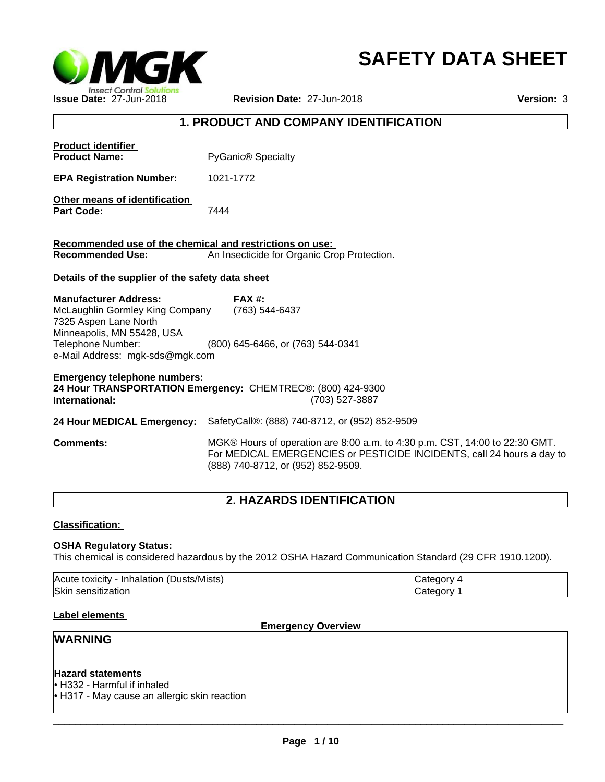

# **SAFETY DATA SHEET**

## **1. PRODUCT AND COMPANY IDENTIFICATION**

| <b>Product identifier</b>                                |                                                                                                                                                       |
|----------------------------------------------------------|-------------------------------------------------------------------------------------------------------------------------------------------------------|
| <b>Product Name:</b>                                     | <b>PyGanic® Specialty</b>                                                                                                                             |
| <b>EPA Registration Number:</b>                          | 1021-1772                                                                                                                                             |
| Other means of identification<br><b>Part Code:</b>       | 7444                                                                                                                                                  |
| Recommended use of the chemical and restrictions on use: |                                                                                                                                                       |
| <b>Recommended Use:</b>                                  | An Insecticide for Organic Crop Protection.                                                                                                           |
| Details of the supplier of the safety data sheet         |                                                                                                                                                       |
| <b>Manufacturer Address:</b>                             | $FAX#$ :                                                                                                                                              |
| McLaughlin Gormley King Company                          | (763) 544-6437                                                                                                                                        |
| 7325 Aspen Lane North                                    |                                                                                                                                                       |
| Minneapolis, MN 55428, USA                               |                                                                                                                                                       |
| Telephone Number:                                        | (800) 645-6466, or (763) 544-0341                                                                                                                     |
| e-Mail Address: mgk-sds@mgk.com                          |                                                                                                                                                       |
| <b>Emergency telephone numbers:</b>                      |                                                                                                                                                       |
|                                                          | 24 Hour TRANSPORTATION Emergency: CHEMTREC®: (800) 424-9300                                                                                           |
| International:                                           | (703) 527-3887                                                                                                                                        |
| 24 Hour MEDICAL Emergency:                               | SafetyCall®: (888) 740-8712, or (952) 852-9509                                                                                                        |
| <b>Comments:</b>                                         | MGK® Hours of operation are 8:00 a.m. to 4:30 p.m. CST, 14:00 to 22:30 GMT.<br>For MEDICAL EMERGENCIES or PESTICIDE INCIDENTS, call 24 hours a day to |

## **2. HAZARDS IDENTIFICATION**

(888) 740-8712, or (952) 852-9509.

**Classification:** 

## **OSHA Regulatory Status:**

This chemical is considered hazardous by the 2012 OSHA Hazard Communication Standard (29 CFR 1910.1200).

| $\mathbf{r}$<br><b>Acute</b><br>/Mists.<br>toxicity<br>Inhalation<br>™UUSiJ | עזר      |
|-----------------------------------------------------------------------------|----------|
| <b>Skir</b><br>$\sim$<br>ization<br>sensit                                  | ำrv<br>. |

## **Label elements**

**Emergency Overview**

## **WARNING**

## **Hazard statements**

• H332 - Harmful if inhaled

• H317 - May cause an allergic skin reaction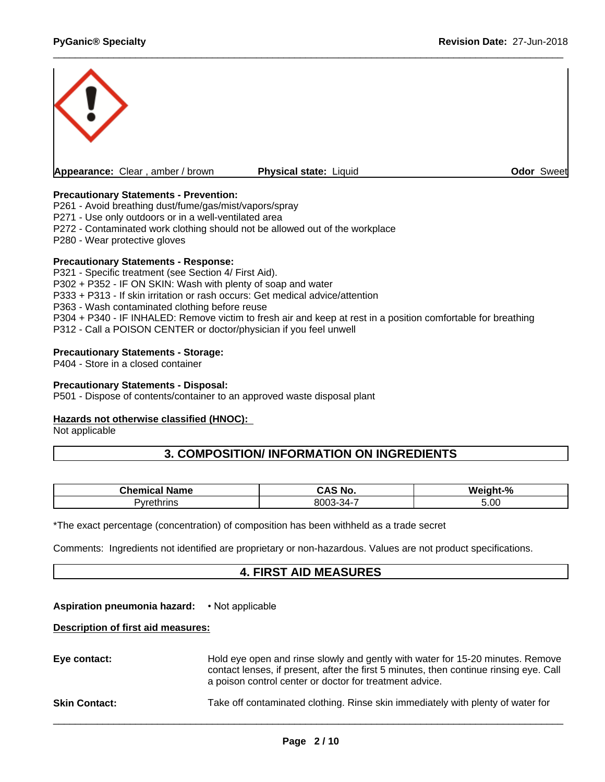

## **Precautionary Statements - Prevention:**

P261 - Avoid breathing dust/fume/gas/mist/vapors/spray

P271 - Use only outdoors or in a well-ventilated area

P272 - Contaminated work clothing should not be allowed out of the workplace

P280 - Wear protective gloves

#### **Precautionary Statements - Response:**

P321 - Specific treatment (see Section 4/ First Aid). P302 + P352 - IF ON SKIN: Wash with plenty of soap and water P333 + P313 - If skin irritation or rash occurs: Get medical advice/attention P363 - Wash contaminated clothing before reuse P304 + P340 - IF INHALED: Remove victim to fresh air and keep at rest in a position comfortable for breathing P312 - Call a POISON CENTER or doctor/physician if you feel unwell

## **Precautionary Statements - Storage:**

P404 - Store in a closed container

## **Precautionary Statements - Disposal:**

P501 - Dispose of contents/container to an approved waste disposal plant

## **Hazards not otherwise classified (HNOC):**

Not applicable

## **3. COMPOSITION/ INFORMATION ON INGREDIENTS**

| --<br>Chemical<br><b>Name</b> | ~AS No.                      | <b>Weight</b><br>.9/6 |
|-------------------------------|------------------------------|-----------------------|
| 'yrethrins                    | <b>ROO3-34-</b><br>י<br>,,,, | 5.00                  |

\*The exact percentage (concentration) of composition has been withheld as a trade secret

Comments: Ingredients not identified are proprietary or non-hazardous. Values are not product specifications.

## **4. FIRST AID MEASURES**

## **Aspiration pneumonia hazard:** •Notapplicable

#### **Description of first aid measures:**

| Eye contact:         | Hold eye open and rinse slowly and gently with water for 15-20 minutes. Remove<br>contact lenses, if present, after the first 5 minutes, then continue rinsing eye. Call<br>a poison control center or doctor for treatment advice. |  |
|----------------------|-------------------------------------------------------------------------------------------------------------------------------------------------------------------------------------------------------------------------------------|--|
| <b>Skin Contact:</b> | Take off contaminated clothing. Rinse skin immediately with plenty of water for                                                                                                                                                     |  |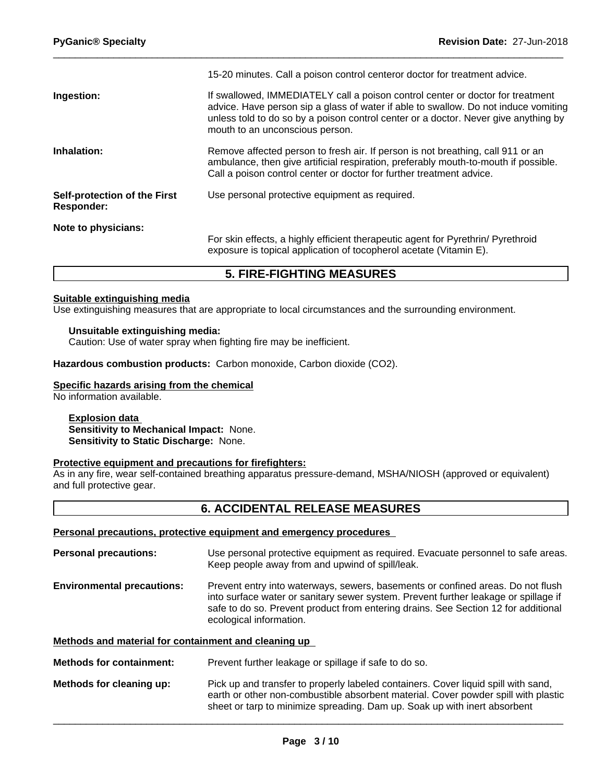|                                                   | 15-20 minutes. Call a poison control centeror doctor for treatment advice.                                                                                                                                                                                                                      |
|---------------------------------------------------|-------------------------------------------------------------------------------------------------------------------------------------------------------------------------------------------------------------------------------------------------------------------------------------------------|
| Ingestion:                                        | If swallowed, IMMEDIATELY call a poison control center or doctor for treatment<br>advice. Have person sip a glass of water if able to swallow. Do not induce vomiting<br>unless told to do so by a poison control center or a doctor. Never give anything by<br>mouth to an unconscious person. |
| Inhalation:                                       | Remove affected person to fresh air. If person is not breathing, call 911 or an<br>ambulance, then give artificial respiration, preferably mouth-to-mouth if possible.<br>Call a poison control center or doctor for further treatment advice.                                                  |
| Self-protection of the First<br><b>Responder:</b> | Use personal protective equipment as required.                                                                                                                                                                                                                                                  |
| Note to physicians:                               | For skin effects, a highly efficient therapeutic agent for Pyrethrin/ Pyrethroid<br>exposure is topical application of tocopherol acetate (Vitamin E).                                                                                                                                          |

## **5. FIRE-FIGHTING MEASURES**

## **Suitable extinguishing media**

Use extinguishing measures that are appropriate to local circumstances and the surrounding environment.

#### **Unsuitable extinguishing media:**

Caution: Use of water spray when fighting fire may be inefficient.

**Hazardous combustion products:** Carbon monoxide, Carbon dioxide (CO2).

#### **Specific hazards arising from the chemical**

No information available.

#### **Explosion data Sensitivity to Mechanical Impact:** None. **Sensitivity to Static Discharge:** None.

## **Protective equipment and precautions for firefighters:**

As in any fire, wear self-contained breathing apparatus pressure-demand, MSHA/NIOSH (approved or equivalent) and full protective gear.

## **6. ACCIDENTAL RELEASE MEASURES**

#### **Personal precautions, protective equipment and emergency procedures**

| <b>Personal precautions:</b>      | Use personal protective equipment as required. Evacuate personnel to safe areas.<br>Keep people away from and upwind of spill/leak.                                                                                                                                                     |
|-----------------------------------|-----------------------------------------------------------------------------------------------------------------------------------------------------------------------------------------------------------------------------------------------------------------------------------------|
| <b>Environmental precautions:</b> | Prevent entry into waterways, sewers, basements or confined areas. Do not flush<br>into surface water or sanitary sewer system. Prevent further leakage or spillage if<br>safe to do so. Prevent product from entering drains. See Section 12 for additional<br>ecological information. |
|                                   |                                                                                                                                                                                                                                                                                         |

## **Methods and material for containment and cleaning up**

**Methods for containment:** Prevent further leakage or spillage if safe to do so.

**Methods for cleaning up:** Pick up and transfer to properly labeled containers. Cover liquid spill with sand, earth or other non-combustible absorbent material. Cover powder spill with plastic sheet or tarp to minimize spreading. Dam up. Soak up with inert absorbent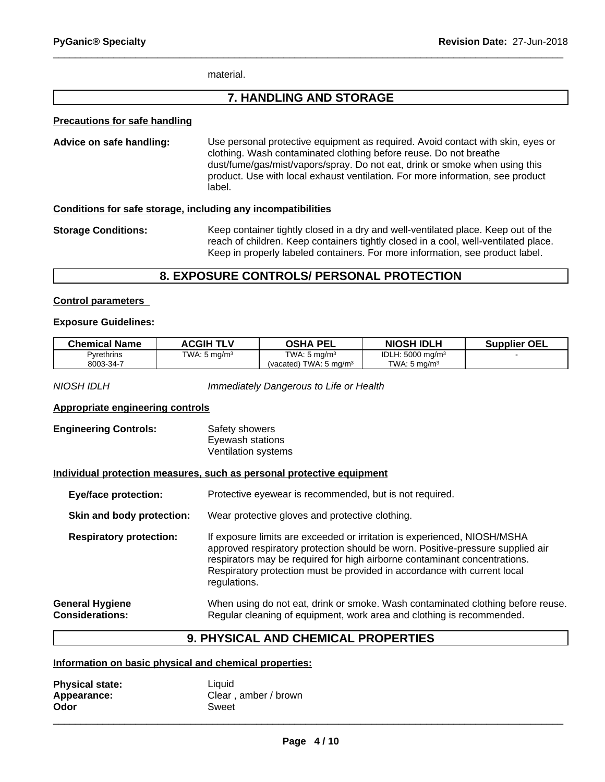material.

## **7. HANDLING AND STORAGE**

#### **Precautions for safe handling**

**Advice on safe handling:** Use personal protective equipment as required.Avoid contact with skin, eyes or clothing. Wash contaminated clothing before reuse. Do not breathe dust/fume/gas/mist/vapors/spray. Do not eat, drink or smoke when using this product. Use with local exhaust ventilation. For more information, see product label.

## **Conditions for safe storage, including any incompatibilities**

**Storage Conditions:** Keep container tightly closed in a dry and well-ventilated place. Keep out of the reach of children. Keep containers tightly closed in a cool, well-ventilated place. Keep in properly labeled containers. For more information, see product label.

## **8. EXPOSURE CONTROLS/ PERSONAL PROTECTION**

#### **Control parameters**

#### **Exposure Guidelines:**

| <b>Chemical Name</b> | <b>ACGIH TLV</b>         | OSHA PEL                             | <b>NIOSH IDLH</b>           | <b>Supplier OEL</b> |
|----------------------|--------------------------|--------------------------------------|-----------------------------|---------------------|
| Pyrethrins           | TWA: 5 mg/m <sup>3</sup> | TWA: $5 \text{ ma/m}^3$              | IDLH: $5000 \text{ mg/m}^3$ |                     |
| 8003-34-7            |                          | TWA: $5 \text{ ma/m}^3$<br>(vacated) | TWA: 5 mg/m <sup>3</sup>    |                     |

*NIOSH IDLH Immediately Dangerous to Life or Health*

## **Appropriate engineering controls**

| <b>Engineering Controls:</b> | Safety showers      |  |
|------------------------------|---------------------|--|
|                              | Eyewash stations    |  |
|                              | Ventilation systems |  |

#### **Individual protection measures, such as personal protective equipment**

| <b>Eye/face protection:</b><br>Skin and body protection: |                                                  | Protective eyewear is recommended, but is not required.                                                                                                                                                                                                                                                                             |  |
|----------------------------------------------------------|--------------------------------------------------|-------------------------------------------------------------------------------------------------------------------------------------------------------------------------------------------------------------------------------------------------------------------------------------------------------------------------------------|--|
|                                                          |                                                  | Wear protective gloves and protective clothing.                                                                                                                                                                                                                                                                                     |  |
|                                                          | <b>Respiratory protection:</b>                   | If exposure limits are exceeded or irritation is experienced, NIOSH/MSHA<br>approved respiratory protection should be worn. Positive-pressure supplied air<br>respirators may be required for high airborne contaminant concentrations.<br>Respiratory protection must be provided in accordance with current local<br>regulations. |  |
|                                                          | <b>General Hygiene</b><br><b>Considerations:</b> | When using do not eat, drink or smoke. Wash contaminated clothing before reuse.<br>Regular cleaning of equipment, work area and clothing is recommended.                                                                                                                                                                            |  |

## **9. PHYSICAL AND CHEMICAL PROPERTIES**

## **Information on basic physical and chemical properties:**

| <b>Physical state:</b> | Liquid               |
|------------------------|----------------------|
| Appearance:            | Clear, amber / brown |
| Odor                   | Sweet                |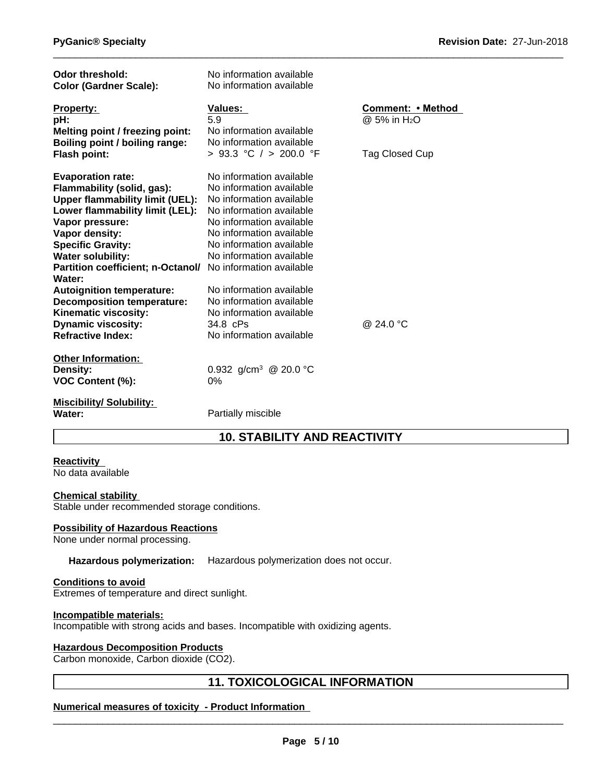| Odor threshold:<br><b>Color (Gardner Scale):</b>                                                                                                                                                                                                                                                                                                                                       | No information available<br>No information available                                                                                                                                                                                                                                                             |                                                                 |
|----------------------------------------------------------------------------------------------------------------------------------------------------------------------------------------------------------------------------------------------------------------------------------------------------------------------------------------------------------------------------------------|------------------------------------------------------------------------------------------------------------------------------------------------------------------------------------------------------------------------------------------------------------------------------------------------------------------|-----------------------------------------------------------------|
| <b>Property:</b><br>pH:<br>Melting point / freezing point:<br>Boiling point / boiling range:                                                                                                                                                                                                                                                                                           | <b>Values:</b><br>5.9<br>No information available<br>No information available<br>> 93.3 °C / > 200.0 °F                                                                                                                                                                                                          | Comment: • Method<br>@ 5% in H <sub>2</sub> O<br>Tag Closed Cup |
| <b>Flash point:</b><br><b>Evaporation rate:</b><br>Flammability (solid, gas):<br><b>Upper flammability limit (UEL):</b><br>Lower flammability limit (LEL):<br>Vapor pressure:<br>Vapor density:<br><b>Specific Gravity:</b><br><b>Water solubility:</b><br><b>Partition coefficient; n-Octanol/</b><br>Water:<br><b>Autoignition temperature:</b><br><b>Decomposition temperature:</b> | No information available<br>No information available<br>No information available<br>No information available<br>No information available<br>No information available<br>No information available<br>No information available<br>No information available<br>No information available<br>No information available |                                                                 |
| <b>Kinematic viscosity:</b><br><b>Dynamic viscosity:</b><br><b>Refractive Index:</b>                                                                                                                                                                                                                                                                                                   | No information available<br>34.8 cPs<br>No information available                                                                                                                                                                                                                                                 | @ 24.0 °C                                                       |
| <b>Other Information:</b><br><b>Density:</b><br>VOC Content (%):                                                                                                                                                                                                                                                                                                                       | 0.932 g/cm <sup>3</sup> @ 20.0 °C<br>0%                                                                                                                                                                                                                                                                          |                                                                 |
| <b>Miscibility/ Solubility:</b><br>Water:                                                                                                                                                                                                                                                                                                                                              | Partially miscible                                                                                                                                                                                                                                                                                               |                                                                 |

# **10. STABILITY AND REACTIVITY**

## **Reactivity**

No data available

## **Chemical stability**

Stable under recommended storage conditions.

## **Possibility of Hazardous Reactions**

None under normal processing.

## **Hazardous polymerization:** Hazardous polymerization does not occur.

## **Conditions to avoid**

Extremes of temperature and direct sunlight.

## **Incompatible materials:**

Incompatible with strong acids and bases. Incompatible with oxidizing agents.

## **Hazardous Decomposition Products**

Carbon monoxide, Carbon dioxide (CO2).

## **11. TOXICOLOGICAL INFORMATION**

## **Numerical measures of toxicity - Product Information**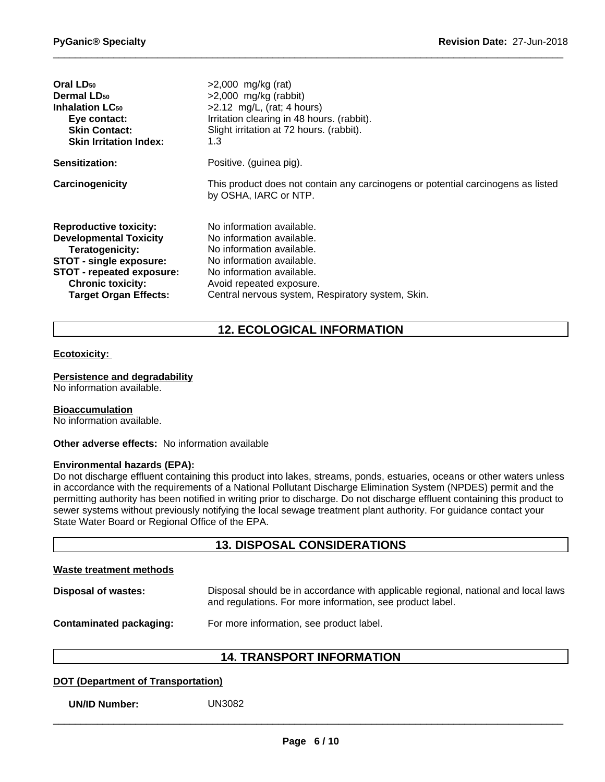| Oral LD <sub>50</sub>             | $>2,000$ mg/kg (rat)                                                                                      |
|-----------------------------------|-----------------------------------------------------------------------------------------------------------|
| Dermal LD <sub>50</sub>           | $>2,000$ mg/kg (rabbit)                                                                                   |
| <b>Inhalation LC<sub>50</sub></b> | $>2.12$ mg/L, (rat; 4 hours)                                                                              |
| Eye contact:                      | Irritation clearing in 48 hours. (rabbit).                                                                |
| <b>Skin Contact:</b>              | Slight irritation at 72 hours. (rabbit).                                                                  |
| <b>Skin Irritation Index:</b>     | 1.3                                                                                                       |
| <b>Sensitization:</b>             | Positive. (guinea pig).                                                                                   |
| Carcinogenicity                   | This product does not contain any carcinogens or potential carcinogens as listed<br>by OSHA, IARC or NTP. |
| <b>Reproductive toxicity:</b>     | No information available.                                                                                 |
| <b>Developmental Toxicity</b>     | No information available.                                                                                 |
| Teratogenicity:                   | No information available.                                                                                 |
| <b>STOT - single exposure:</b>    | No information available.                                                                                 |
| STOT - repeated exposure:         | No information available.                                                                                 |
| <b>Chronic toxicity:</b>          | Avoid repeated exposure.                                                                                  |
| <b>Target Organ Effects:</b>      | Central nervous system, Respiratory system, Skin.                                                         |

# **12. ECOLOGICAL INFORMATION**

#### **Ecotoxicity:**

#### **Persistence and degradability**

No information available.

#### **Bioaccumulation**

No information available.

**Other adverse effects:** No information available

#### **Environmental hazards (EPA):**

Do not discharge effluent containing this product into lakes, streams, ponds, estuaries, oceans or other waters unless in accordance with the requirements of a National Pollutant Discharge Elimination System (NPDES) permit and the permitting authority has been notified in writing prior to discharge. Do not discharge effluent containing this product to sewer systems without previously notifying the local sewage treatment plant authority. For guidance contact your State Water Board or Regional Office of the EPA.

## **13. DISPOSAL CONSIDERATIONS**

| Waste treatment methods        |                                                                                                                                                 |
|--------------------------------|-------------------------------------------------------------------------------------------------------------------------------------------------|
| Disposal of wastes:            | Disposal should be in accordance with applicable regional, national and local laws<br>and regulations. For more information, see product label. |
| <b>Contaminated packaging:</b> | For more information, see product label.                                                                                                        |

## **14. TRANSPORT INFORMATION**

## **DOT (Department of Transportation)**

**UN/ID Number:** UN3082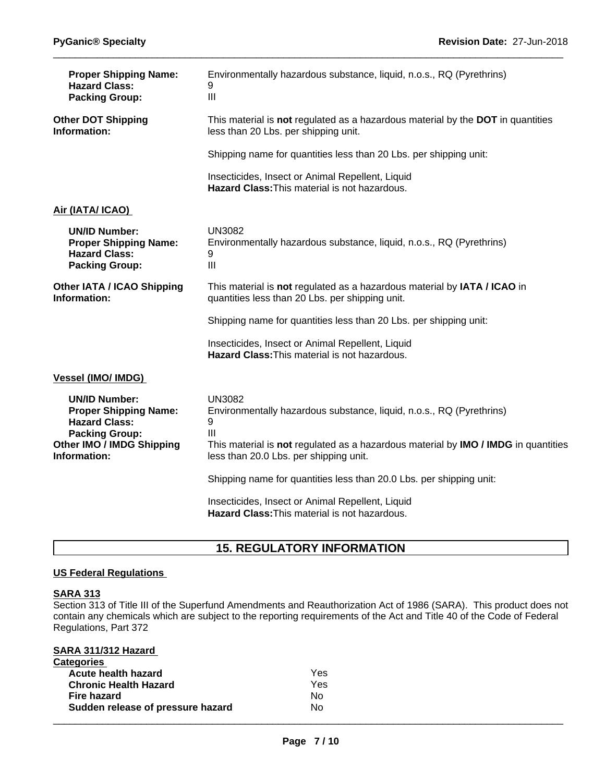| <b>Proper Shipping Name:</b><br><b>Hazard Class:</b><br><b>Packing Group:</b>                                                                      | Environmentally hazardous substance, liquid, n.o.s., RQ (Pyrethrins)<br>9<br>III                                                                                                                                                  |
|----------------------------------------------------------------------------------------------------------------------------------------------------|-----------------------------------------------------------------------------------------------------------------------------------------------------------------------------------------------------------------------------------|
| <b>Other DOT Shipping</b><br>Information:                                                                                                          | This material is not regulated as a hazardous material by the DOT in quantities<br>less than 20 Lbs. per shipping unit.                                                                                                           |
|                                                                                                                                                    | Shipping name for quantities less than 20 Lbs. per shipping unit:                                                                                                                                                                 |
|                                                                                                                                                    | Insecticides, Insect or Animal Repellent, Liquid<br>Hazard Class: This material is not hazardous.                                                                                                                                 |
| Air (IATA/ ICAO)                                                                                                                                   |                                                                                                                                                                                                                                   |
| <b>UN/ID Number:</b><br><b>Proper Shipping Name:</b><br><b>Hazard Class:</b><br><b>Packing Group:</b>                                              | <b>UN3082</b><br>Environmentally hazardous substance, liquid, n.o.s., RQ (Pyrethrins)<br>9<br>III                                                                                                                                 |
| <b>Other IATA / ICAO Shipping</b><br>Information:                                                                                                  | This material is not regulated as a hazardous material by IATA / ICAO in<br>quantities less than 20 Lbs. per shipping unit.                                                                                                       |
|                                                                                                                                                    | Shipping name for quantities less than 20 Lbs. per shipping unit:                                                                                                                                                                 |
|                                                                                                                                                    | Insecticides, Insect or Animal Repellent, Liquid<br><b>Hazard Class: This material is not hazardous.</b>                                                                                                                          |
| Vessel (IMO/ IMDG)                                                                                                                                 |                                                                                                                                                                                                                                   |
| <b>UN/ID Number:</b><br><b>Proper Shipping Name:</b><br><b>Hazard Class:</b><br><b>Packing Group:</b><br>Other IMO / IMDG Shipping<br>Information: | <b>UN3082</b><br>Environmentally hazardous substance, liquid, n.o.s., RQ (Pyrethrins)<br>9<br>III<br>This material is not regulated as a hazardous material by IMO / IMDG in quantities<br>less than 20.0 Lbs. per shipping unit. |
|                                                                                                                                                    | Shipping name for quantities less than 20.0 Lbs. per shipping unit:                                                                                                                                                               |
|                                                                                                                                                    | Insecticides, Insect or Animal Repellent, Liquid<br>Hazard Class: This material is not hazardous.                                                                                                                                 |

# **15. REGULATORY INFORMATION**

## **US Federal Regulations**

## **SARA 313**

Section 313 of Title III of the Superfund Amendments and Reauthorization Act of 1986 (SARA). This product does not contain any chemicals which are subject to the reporting requirements of the Act and Title 40 of the Code of Federal Regulations, Part 372

| SARA 311/312 Hazard               |     |  |
|-----------------------------------|-----|--|
| <b>Categories</b>                 |     |  |
| Acute health hazard               | Yes |  |
| <b>Chronic Health Hazard</b>      | Yes |  |
| Fire hazard                       | No. |  |
| Sudden release of pressure hazard | No. |  |
|                                   |     |  |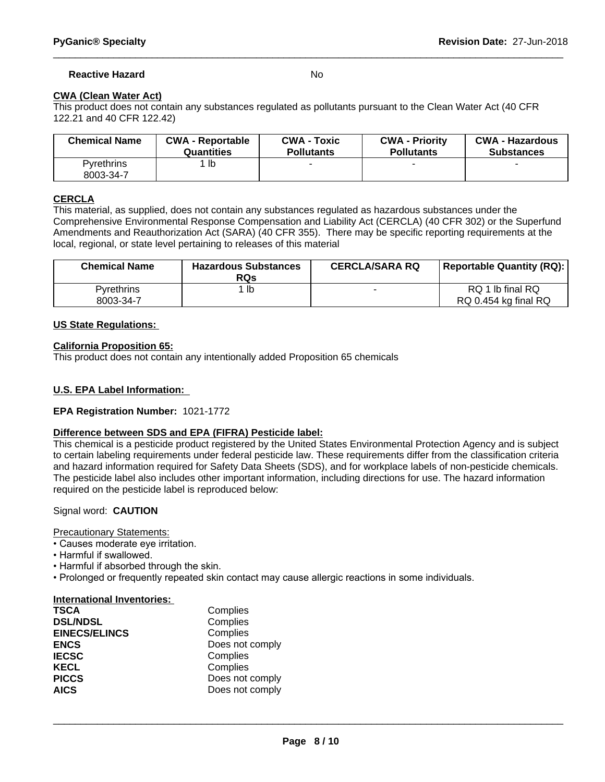## **Reactive Hazard** No

## **CWA (Clean Water Act)**

This product does not contain any substances regulated as pollutants pursuant to the Clean Water Act (40 CFR 122.21 and 40 CFR 122.42)

| <b>Chemical Name</b>    | <b>CWA - Reportable</b> | <b>CWA - Toxic</b> | <b>CWA - Priority</b> | <b>CWA - Hazardous</b> |
|-------------------------|-------------------------|--------------------|-----------------------|------------------------|
|                         | Quantities              | <b>Pollutants</b>  | <b>Pollutants</b>     | <b>Substances</b>      |
| Pvrethrins<br>8003-34-7 | lb                      |                    |                       |                        |

## **CERCLA**

This material, as supplied, does not contain any substances regulated as hazardous substances under the Comprehensive Environmental Response Compensation and Liability Act (CERCLA) (40 CFR 302) or the Superfund Amendments and Reauthorization Act (SARA) (40 CFR 355). There may be specific reporting requirements at the local, regional, or state level pertaining to releases of this material

| <b>Chemical Name</b> | <b>Hazardous Substances</b><br><b>RQs</b> | <b>CERCLA/SARA RQ</b> | <b>Reportable Quantity (RQ):</b> |
|----------------------|-------------------------------------------|-----------------------|----------------------------------|
| <b>Pyrethrins</b>    | lb                                        |                       | RQ 1 lb final RQ                 |
| 8003-34-7            |                                           |                       | RQ 0.454 kg final RQ             |

#### **US State Regulations:**

#### **California Proposition 65:**

This product does not contain any intentionally added Proposition 65 chemicals

## **U.S. EPA Label Information:**

## **EPA Registration Number:** 1021-1772

## **Difference between SDS and EPA (FIFRA) Pesticide label:**

This chemical is a pesticide product registered by the United States Environmental Protection Agency and is subject to certain labeling requirements under federal pesticide law. These requirements differ from the classification criteria and hazard information required for Safety Data Sheets (SDS), and for workplace labels of non-pesticide chemicals. The pesticide label also includes other important information, including directions for use. The hazard information required on the pesticide label is reproduced below:

## Signal word: **CAUTION**

Precautionary Statements:

- Causes moderate eye irritation.
- Harmful if swallowed.
- Harmful if absorbed through the skin.
- Prolonged or frequently repeated skin contact may cause allergic reactions in some individuals.

#### **International Inventories:**

| <b>TSCA</b>          | Complies        |
|----------------------|-----------------|
| <b>DSL/NDSL</b>      | Complies        |
| <b>EINECS/ELINCS</b> | Complies        |
| <b>ENCS</b>          | Does not comply |
| <b>IECSC</b>         | Complies        |
| <b>KECL</b>          | Complies        |
| <b>PICCS</b>         | Does not comply |
| <b>AICS</b>          | Does not comply |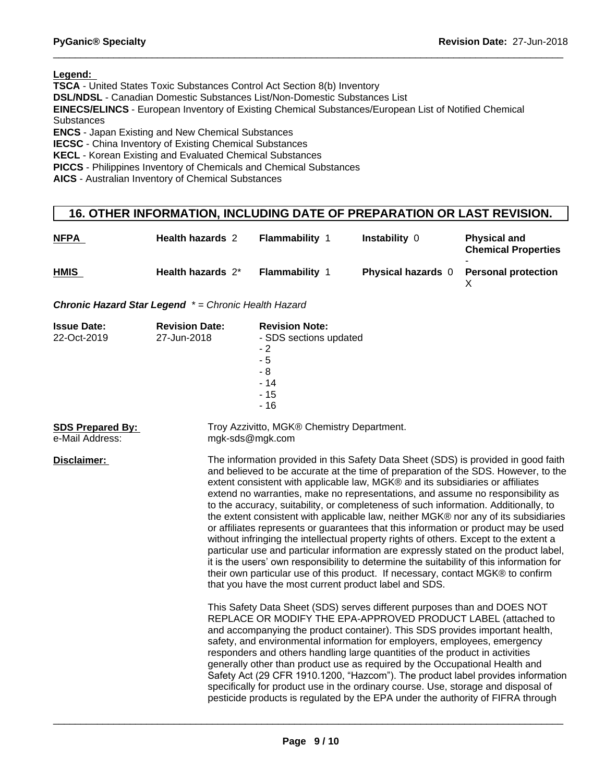**Legend:** 

**TSCA** - United States Toxic Substances Control Act Section 8(b) Inventory

**DSL/NDSL** - Canadian Domestic Substances List/Non-Domestic Substances List

**EINECS/ELINCS** - European Inventory of Existing Chemical Substances/European List of Notified Chemical **Substances** 

**ENCS** - Japan Existing and New Chemical Substances

**IECSC** - China Inventory of Existing Chemical Substances

**KECL** - Korean Existing and Evaluated Chemical Substances

**PICCS** - Philippines Inventory of Chemicals and Chemical Substances

**AICS** - Australian Inventory of Chemical Substances

## **16. OTHER INFORMATION, INCLUDING DATE OF PREPARATION OR LAST REVISION.**

| <b>NFPA</b> | <b>Health hazards 2</b> | <b>Flammability</b>   | Instability 0             | <b>Physical and</b><br><b>Chemical Properties</b> |
|-------------|-------------------------|-----------------------|---------------------------|---------------------------------------------------|
| <b>HMIS</b> | Health hazards 2*       | <b>Flammability 1</b> | <b>Physical hazards</b> 0 | <b>Personal protection</b>                        |

*Chronic Hazard Star Legend \* = Chronic Health Hazard*

| <b>Issue Date:</b><br>22-Oct-2019          | <b>Revision Date:</b><br>27-Jun-2018 | <b>Revision Note:</b><br>- SDS sections updated<br>$-2$<br>$-5$<br>- 8<br>$-14$<br>$-15$                                                                                                                                                                                                                                                                                                                                                                                                                                                                                                                                                                                                                                                                                                                                                                                                                                                                                                                                                                                                                               |
|--------------------------------------------|--------------------------------------|------------------------------------------------------------------------------------------------------------------------------------------------------------------------------------------------------------------------------------------------------------------------------------------------------------------------------------------------------------------------------------------------------------------------------------------------------------------------------------------------------------------------------------------------------------------------------------------------------------------------------------------------------------------------------------------------------------------------------------------------------------------------------------------------------------------------------------------------------------------------------------------------------------------------------------------------------------------------------------------------------------------------------------------------------------------------------------------------------------------------|
| <b>SDS Prepared By:</b><br>e-Mail Address: | mgk-sds@mgk.com                      | $-16$<br>Troy Azzivitto, MGK® Chemistry Department.                                                                                                                                                                                                                                                                                                                                                                                                                                                                                                                                                                                                                                                                                                                                                                                                                                                                                                                                                                                                                                                                    |
| Disclaimer:                                |                                      | The information provided in this Safety Data Sheet (SDS) is provided in good faith<br>and believed to be accurate at the time of preparation of the SDS. However, to the<br>extent consistent with applicable law, MGK® and its subsidiaries or affiliates<br>extend no warranties, make no representations, and assume no responsibility as<br>to the accuracy, suitability, or completeness of such information. Additionally, to<br>the extent consistent with applicable law, neither MGK® nor any of its subsidiaries<br>or affiliates represents or guarantees that this information or product may be used<br>without infringing the intellectual property rights of others. Except to the extent a<br>particular use and particular information are expressly stated on the product label,<br>it is the users' own responsibility to determine the suitability of this information for<br>their own particular use of this product. If necessary, contact MGK® to confirm<br>that you have the most current product label and SDS.<br>This Safety Data Sheet (SDS) serves different purposes than and DOES NOT |
|                                            |                                      | REPLACE OR MODIFY THE EPA-APPROVED PRODUCT LABEL (attached to<br>and accompanying the product container). This SDS provides important health,<br>safety, and environmental information for employers, employees, emergency<br>responders and others handling large quantities of the product in activities<br>generally other than product use as required by the Occupational Health and<br>Safety Act (29 CFR 1910.1200, "Hazcom"). The product label provides information<br>specifically for product use in the ordinary course. Use, storage and disposal of<br>pesticide products is regulated by the EPA under the authority of FIFRA through                                                                                                                                                                                                                                                                                                                                                                                                                                                                   |